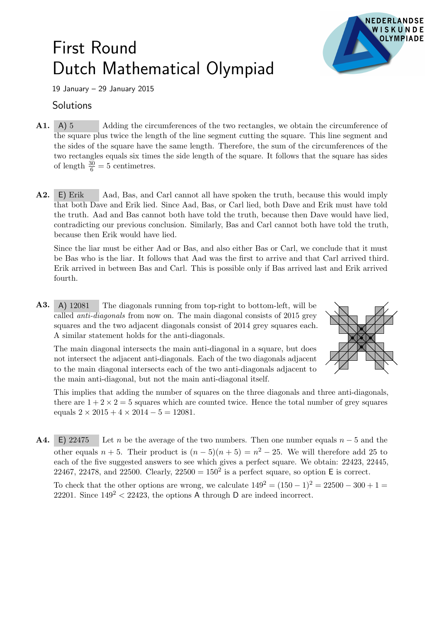## First Round Dutch Mathematical Olympiad



19 January – 29 January 2015

## **Solutions**

- A1. A) 5 Adding the circumferences of the two rectangles, we obtain the circumference of the square plus twice the length of the line segment cutting the square. This line segment and the sides of the square have the same length. Therefore, the sum of the circumferences of the two rectangles equals six times the side length of the square. It follows that the square has sides of length  $\frac{30}{6} = 5$  centimetres.
- A2. E) Erik Aad, Bas, and Carl cannot all have spoken the truth, because this would imply that both Dave and Erik lied. Since Aad, Bas, or Carl lied, both Dave and Erik must have told the truth. Aad and Bas cannot both have told the truth, because then Dave would have lied, contradicting our previous conclusion. Similarly, Bas and Carl cannot both have told the truth, because then Erik would have lied.

Since the liar must be either Aad or Bas, and also either Bas or Carl, we conclude that it must be Bas who is the liar. It follows that Aad was the first to arrive and that Carl arrived third. Erik arrived in between Bas and Carl. This is possible only if Bas arrived last and Erik arrived fourth.

A3. A) 12081 The diagonals running from top-right to bottom-left, will be called *anti-diagonals* from now on. The main diagonal consists of 2015 grey squares and the two adjacent diagonals consist of 2014 grey squares each. A similar statement holds for the anti-diagonals.

The main diagonal intersects the main anti-diagonal in a square, but does not intersect the adjacent anti-diagonals. Each of the two diagonals adjacent to the main diagonal intersects each of the two anti-diagonals adjacent to the main anti-diagonal, but not the main anti-diagonal itself.



This implies that adding the number of squares on the three diagonals and three anti-diagonals, there are  $1 + 2 \times 2 = 5$  squares which are counted twice. Hence the total number of grey squares equals  $2 \times 2015 + 4 \times 2014 - 5 = 12081$ .

**A4.** E) 22475 Let n be the average of the two numbers. Then one number equals  $n-5$  and the other equals  $n + 5$ . Their product is  $(n - 5)(n + 5) = n^2 - 25$ . We will therefore add 25 to each of the five suggested answers to see which gives a perfect square. We obtain: 22423, 22445, 22467, 22478, and 22500. Clearly,  $22500 = 150^2$  is a perfect square, so option E is correct.

To check that the other options are wrong, we calculate  $149^2 = (150 - 1)^2 = 22500 - 300 + 1 =$ 22201. Since  $149^2 < 22423$ , the options A through D are indeed incorrect.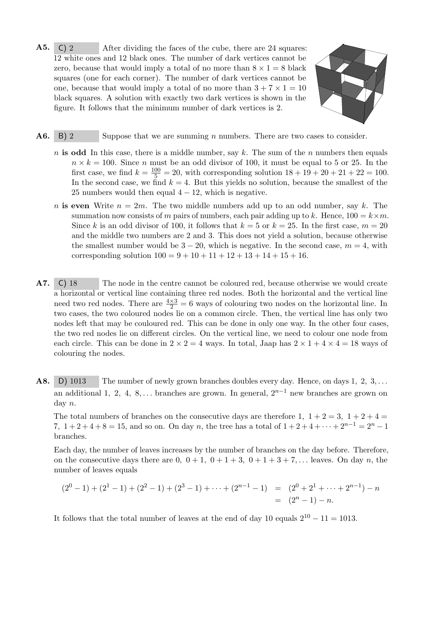A5. C) 2 After dividing the faces of the cube, there are 24 squares: 12 white ones and 12 black ones. The number of dark vertices cannot be zero, because that would imply a total of no more than  $8 \times 1 = 8$  black squares (one for each corner). The number of dark vertices cannot be one, because that would imply a total of no more than  $3 + 7 \times 1 = 10$ black squares. A solution with exactly two dark vertices is shown in the figure. It follows that the minimum number of dark vertices is 2.



- A6. B) 2 Suppose that we are summing *n* numbers. There are two cases to consider.
	- n is odd In this case, there is a middle number, say k. The sum of the n numbers then equals  $n \times k = 100$ . Since n must be an odd divisor of 100, it must be equal to 5 or 25. In the first case, we find  $k = \frac{100}{5} = 20$ , with corresponding solution  $18 + 19 + 20 + 21 + 22 = 100$ . In the second case, we find  $k = 4$ . But this yields no solution, because the smallest of the 25 numbers would then equal  $4 - 12$ , which is negative.
	- n is even Write  $n = 2m$ . The two middle numbers add up to an odd number, say k. The summation now consists of m pairs of numbers, each pair adding up to k. Hence,  $100 = k \times m$ . Since k is an odd divisor of 100, it follows that  $k = 5$  or  $k = 25$ . In the first case,  $m = 20$ and the middle two numbers are 2 and 3. This does not yield a solution, because otherwise the smallest number would be  $3 - 20$ , which is negative. In the second case,  $m = 4$ , with corresponding solution  $100 = 9 + 10 + 11 + 12 + 13 + 14 + 15 + 16$ .
- A7. C) 18 The node in the centre cannot be coloured red, because otherwise we would create a horizontal or vertical line containing three red nodes. Both the horizontal and the vertical line need two red nodes. There are  $\frac{4\times3}{2} = 6$  ways of colouring two nodes on the horizontal line. In two cases, the two coloured nodes lie on a common circle. Then, the vertical line has only two nodes left that may be couloured red. This can be done in only one way. In the other four cases, the two red nodes lie on different circles. On the vertical line, we need to colour one node from each circle. This can be done in  $2 \times 2 = 4$  ways. In total, Jaap has  $2 \times 1 + 4 \times 4 = 18$  ways of colouring the nodes.
- A8. D) 1013 The number of newly grown branches doubles every day. Hence, on days 1, 2, 3, ... an additional 1, 2, 4, 8, ... branches are grown. In general,  $2^{n-1}$  new branches are grown on day n.

The total numbers of branches on the consecutive days are therefore 1,  $1+2=3$ ,  $1+2+4=$ 7,  $1+2+4+8=15$ , and so on. On day n, the tree has a total of  $1+2+4+\cdots+2^{n-1}=2^n-1$ branches.

Each day, the number of leaves increases by the number of branches on the day before. Therefore, on the consecutive days there are 0,  $0 + 1$ ,  $0 + 1 + 3$ ,  $0 + 1 + 3 + 7$ ,... leaves. On day n, the number of leaves equals

$$
(20 - 1) + (21 - 1) + (22 - 1) + (23 - 1) + \dots + (2n-1 - 1) = (20 + 21 + \dots + 2n-1) - n
$$
  
= (2<sup>n</sup> - 1) - n.

It follows that the total number of leaves at the end of day 10 equals  $2^{10} - 11 = 1013$ .